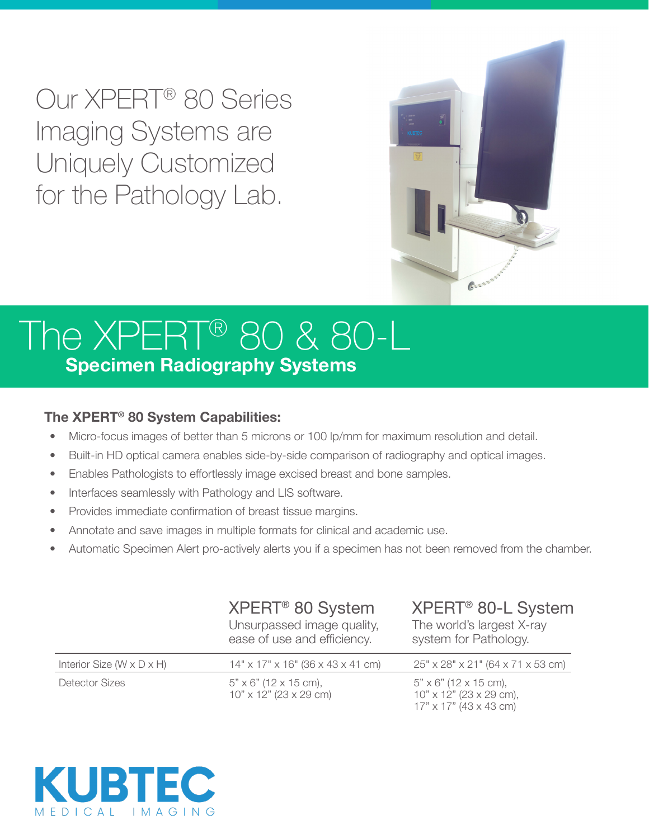Our XPERT® 80 Series Imaging Systems are Uniquely Customized for the Pathology Lab.



## The XPERT® 80 & 80-L **Specimen Radiography Systems**

## **The XPERT® 80 System Capabilities:**

- Micro-focus images of better than 5 microns or 100 lp/mm for maximum resolution and detail.
- Built-in HD optical camera enables side-by-side comparison of radiography and optical images.
- Enables Pathologists to effortlessly image excised breast and bone samples.
- Interfaces seamlessly with Pathology and LIS software.
- Provides immediate confirmation of breast tissue margins.
- Annotate and save images in multiple formats for clinical and academic use.
- Automatic Specimen Alert pro-actively alerts you if a specimen has not been removed from the chamber.

|                                         | XPERT <sup>®</sup> 80 System<br>Unsurpassed image quality,<br>ease of use and efficiency. | XPERT <sup>®</sup> 80-L System<br>The world's largest X-ray<br>system for Pathology.                   |
|-----------------------------------------|-------------------------------------------------------------------------------------------|--------------------------------------------------------------------------------------------------------|
| Interior Size ( $W \times D \times H$ ) | $14"$ x $17"$ x $16"$ (36 x 43 x 41 cm)                                                   | 25" x 28" x 21" (64 x 71 x 53 cm)                                                                      |
| <b>Detector Sizes</b>                   | $5" \times 6"$ (12 x 15 cm),<br>$10" \times 12"$ (23 x 29 cm)                             | $5" \times 6"$ (12 $\times$ 15 cm),<br>$10" \times 12"$ (23 x 29 cm),<br>$17" \times 17"$ (43 x 43 cm) |